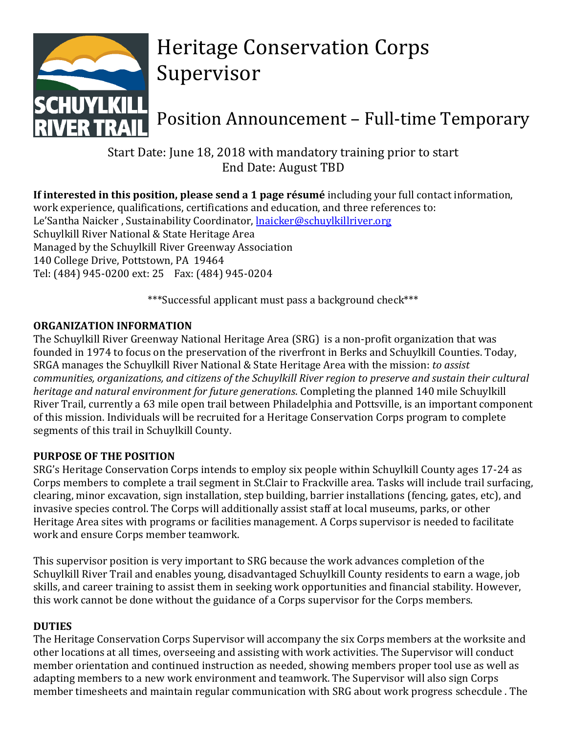

# Heritage Conservation Corps Supervisor

Position Announcement – Full-time Temporary

Start Date: June 18, 2018 with mandatory training prior to start End Date: August TBD

**If interested in this position, please send a 1 page résumé** including your full contact information, work experience, qualifications, certifications and education, and three references to: Le'Santha Naicker, Sustainability Coordinator, **Inaicker@schuylkillriver.org** Schuylkill River National & State Heritage Area Managed by the Schuylkill River Greenway Association 140 College Drive, Pottstown, PA 19464 Tel: (484) 945-0200 ext: 25 Fax: (484) 945-0204

\*\*\*Successful applicant must pass a background check\*\*\*

## **ORGANIZATION INFORMATION**

The Schuylkill River Greenway National Heritage Area (SRG) is a non-profit organization that was founded in 1974 to focus on the preservation of the riverfront in Berks and Schuylkill Counties. Today, SRGA manages the Schuylkill River National & State Heritage Area with the mission: *to assist communities, organizations, and citizens of the Schuylkill River region to preserve and sustain their cultural heritage and natural environment for future generations*. Completing the planned 140 mile Schuylkill River Trail, currently a 63 mile open trail between Philadelphia and Pottsville, is an important component of this mission. Individuals will be recruited for a Heritage Conservation Corps program to complete segments of this trail in Schuylkill County.

## **PURPOSE OF THE POSITION**

SRG's Heritage Conservation Corps intends to employ six people within Schuylkill County ages 17-24 as Corps members to complete a trail segment in St.Clair to Frackville area. Tasks will include trail surfacing, clearing, minor excavation, sign installation, step building, barrier installations (fencing, gates, etc), and invasive species control. The Corps will additionally assist staff at local museums, parks, or other Heritage Area sites with programs or facilities management. A Corps supervisor is needed to facilitate work and ensure Corps member teamwork.

This supervisor position is very important to SRG because the work advances completion of the Schuylkill River Trail and enables young, disadvantaged Schuylkill County residents to earn a wage, job skills, and career training to assist them in seeking work opportunities and financial stability. However, this work cannot be done without the guidance of a Corps supervisor for the Corps members.

## **DUTIES**

The Heritage Conservation Corps Supervisor will accompany the six Corps members at the worksite and other locations at all times, overseeing and assisting with work activities. The Supervisor will conduct member orientation and continued instruction as needed, showing members proper tool use as well as adapting members to a new work environment and teamwork. The Supervisor will also sign Corps member timesheets and maintain regular communication with SRG about work progress schecdule . The